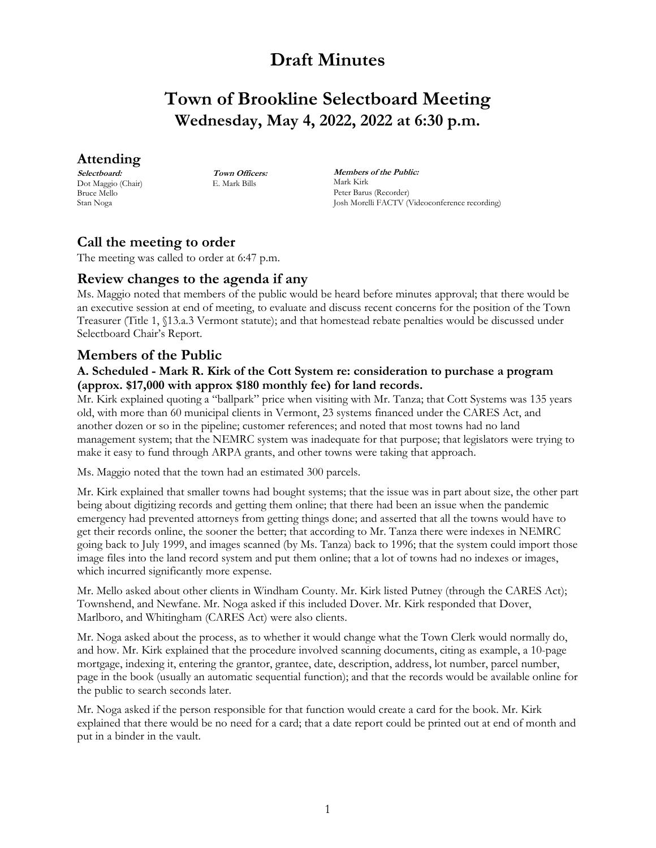## **Town of Brookline Selectboard Meeting Wednesday, May 4, 2022, 2022 at 6:30 p.m.**

### **Attending**

**Selectboard:** Dot Maggio (Chair) Bruce Mello Stan Noga

**Town Officers:** E. Mark Bills

**Members of the Public:** Mark Kirk Peter Barus (Recorder) Josh Morelli FACTV (Videoconference recording)

### **Call the meeting to order**

The meeting was called to order at 6:47 p.m.

### **Review changes to the agenda if any**

Ms. Maggio noted that members of the public would be heard before minutes approval; that there would be an executive session at end of meeting, to evaluate and discuss recent concerns for the position of the Town Treasurer (Title 1, §13.a.3 Vermont statute); and that homestead rebate penalties would be discussed under Selectboard Chair's Report.

### **Members of the Public**

#### **A. Scheduled - Mark R. Kirk of the Cott System re: consideration to purchase a program (approx. \$17,000 with approx \$180 monthly fee) for land records.**

Mr. Kirk explained quoting a "ballpark" price when visiting with Mr. Tanza; that Cott Systems was 135 years old, with more than 60 municipal clients in Vermont, 23 systems financed under the CARES Act, and another dozen or so in the pipeline; customer references; and noted that most towns had no land management system; that the NEMRC system was inadequate for that purpose; that legislators were trying to make it easy to fund through ARPA grants, and other towns were taking that approach.

Ms. Maggio noted that the town had an estimated 300 parcels.

Mr. Kirk explained that smaller towns had bought systems; that the issue was in part about size, the other part being about digitizing records and getting them online; that there had been an issue when the pandemic emergency had prevented attorneys from getting things done; and asserted that all the towns would have to get their records online, the sooner the better; that according to Mr. Tanza there were indexes in NEMRC going back to July 1999, and images scanned (by Ms. Tanza) back to 1996; that the system could import those image files into the land record system and put them online; that a lot of towns had no indexes or images, which incurred significantly more expense.

Mr. Mello asked about other clients in Windham County. Mr. Kirk listed Putney (through the CARES Act); Townshend, and Newfane. Mr. Noga asked if this included Dover. Mr. Kirk responded that Dover, Marlboro, and Whitingham (CARES Act) were also clients.

Mr. Noga asked about the process, as to whether it would change what the Town Clerk would normally do, and how. Mr. Kirk explained that the procedure involved scanning documents, citing as example, a 10-page mortgage, indexing it, entering the grantor, grantee, date, description, address, lot number, parcel number, page in the book (usually an automatic sequential function); and that the records would be available online for the public to search seconds later.

Mr. Noga asked if the person responsible for that function would create a card for the book. Mr. Kirk explained that there would be no need for a card; that a date report could be printed out at end of month and put in a binder in the vault.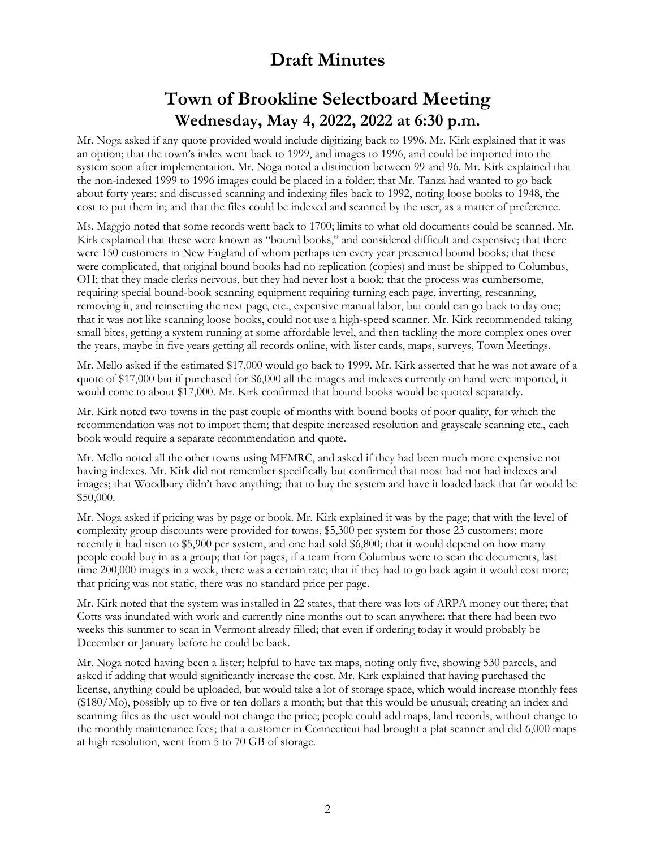# **Town of Brookline Selectboard Meeting Wednesday, May 4, 2022, 2022 at 6:30 p.m.**

Mr. Noga asked if any quote provided would include digitizing back to 1996. Mr. Kirk explained that it was an option; that the town's index went back to 1999, and images to 1996, and could be imported into the system soon after implementation. Mr. Noga noted a distinction between 99 and 96. Mr. Kirk explained that the non-indexed 1999 to 1996 images could be placed in a folder; that Mr. Tanza had wanted to go back about forty years; and discussed scanning and indexing files back to 1992, noting loose books to 1948, the cost to put them in; and that the files could be indexed and scanned by the user, as a matter of preference.

Ms. Maggio noted that some records went back to 1700; limits to what old documents could be scanned. Mr. Kirk explained that these were known as "bound books," and considered difficult and expensive; that there were 150 customers in New England of whom perhaps ten every year presented bound books; that these were complicated, that original bound books had no replication (copies) and must be shipped to Columbus, OH; that they made clerks nervous, but they had never lost a book; that the process was cumbersome, requiring special bound-book scanning equipment requiring turning each page, inverting, rescanning, removing it, and reinserting the next page, etc., expensive manual labor, but could can go back to day one; that it was not like scanning loose books, could not use a high-speed scanner. Mr. Kirk recommended taking small bites, getting a system running at some affordable level, and then tackling the more complex ones over the years, maybe in five years getting all records online, with lister cards, maps, surveys, Town Meetings.

Mr. Mello asked if the estimated \$17,000 would go back to 1999. Mr. Kirk asserted that he was not aware of a quote of \$17,000 but if purchased for \$6,000 all the images and indexes currently on hand were imported, it would come to about \$17,000. Mr. Kirk confirmed that bound books would be quoted separately.

Mr. Kirk noted two towns in the past couple of months with bound books of poor quality, for which the recommendation was not to import them; that despite increased resolution and grayscale scanning etc., each book would require a separate recommendation and quote.

Mr. Mello noted all the other towns using MEMRC, and asked if they had been much more expensive not having indexes. Mr. Kirk did not remember specifically but confirmed that most had not had indexes and images; that Woodbury didn't have anything; that to buy the system and have it loaded back that far would be \$50,000.

Mr. Noga asked if pricing was by page or book. Mr. Kirk explained it was by the page; that with the level of complexity group discounts were provided for towns, \$5,300 per system for those 23 customers; more recently it had risen to \$5,900 per system, and one had sold \$6,800; that it would depend on how many people could buy in as a group; that for pages, if a team from Columbus were to scan the documents, last time 200,000 images in a week, there was a certain rate; that if they had to go back again it would cost more; that pricing was not static, there was no standard price per page.

Mr. Kirk noted that the system was installed in 22 states, that there was lots of ARPA money out there; that Cotts was inundated with work and currently nine months out to scan anywhere; that there had been two weeks this summer to scan in Vermont already filled; that even if ordering today it would probably be December or January before he could be back.

Mr. Noga noted having been a lister; helpful to have tax maps, noting only five, showing 530 parcels, and asked if adding that would significantly increase the cost. Mr. Kirk explained that having purchased the license, anything could be uploaded, but would take a lot of storage space, which would increase monthly fees (\$180/Mo), possibly up to five or ten dollars a month; but that this would be unusual; creating an index and scanning files as the user would not change the price; people could add maps, land records, without change to the monthly maintenance fees; that a customer in Connecticut had brought a plat scanner and did 6,000 maps at high resolution, went from 5 to 70 GB of storage.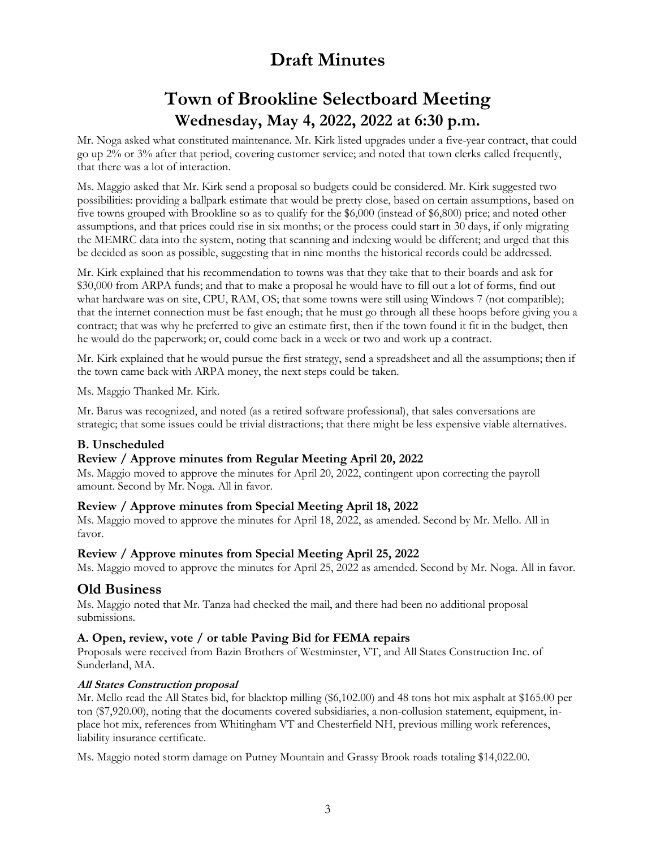# **Town of Brookline Selectboard Meeting Wednesday, May 4, 2022, 2022 at 6:30 p.m.**

Mr. Noga asked what constituted maintenance. Mr. Kirk listed upgrades under a five-year contract, that could go up 2% or 3% after that period, covering customer service; and noted that town clerks called frequently, that there was a lot of interaction.

Ms. Maggio asked that Mr. Kirk send a proposal so budgets could be considered. Mr. Kirk suggested two possibilities: providing a ballpark estimate that would be pretty close, based on certain assumptions, based on five towns grouped with Brookline so as to qualify for the \$6,000 (instead of \$6,800) price; and noted other assumptions, and that prices could rise in six months; or the process could start in 30 days, if only migrating the MEMRC data into the system, noting that scanning and indexing would be different; and urged that this be decided as soon as possible, suggesting that in nine months the historical records could be addressed.

Mr. Kirk explained that his recommendation to towns was that they take that to their boards and ask for \$30,000 from ARPA funds; and that to make a proposal he would have to fill out a lot of forms, find out what hardware was on site, CPU, RAM, OS; that some towns were still using Windows 7 (not compatible); that the internet connection must be fast enough; that he must go through all these hoops before giving you a contract; that was why he preferred to give an estimate first, then if the town found it fit in the budget, then he would do the paperwork; or, could come back in a week or two and work up a contract.

Mr. Kirk explained that he would pursue the first strategy, send a spreadsheet and all the assumptions; then if the town came back with ARPA money, the next steps could be taken.

Ms. Maggio Thanked Mr. Kirk.

Mr. Barus was recognized, and noted (as a retired software professional), that sales conversations are strategic; that some issues could be trivial distractions; that there might be less expensive viable alternatives.

#### **B. Unscheduled**

#### **Review / Approve minutes from Regular Meeting April 20, 2022**

Ms. Maggio moved to approve the minutes for April 20, 2022, contingent upon correcting the payroll amount. Second by Mr. Noga. All in favor.

#### **Review / Approve minutes from Special Meeting April 18, 2022**

Ms. Maggio moved to approve the minutes for April 18, 2022, as amended. Second by Mr. Mello. All in favor.

#### **Review / Approve minutes from Special Meeting April 25, 2022**

Ms. Maggio moved to approve the minutes for April 25, 2022 as amended. Second by Mr. Noga. All in favor.

### **Old Business**

Ms. Maggio noted that Mr. Tanza had checked the mail, and there had been no additional proposal submissions.

#### **A. Open, review, vote / or table Paving Bid for FEMA repairs**

Proposals were received from Bazin Brothers of Westminster, VT, and All States Construction Inc. of Sunderland, MA.

#### **All States Construction proposal**

Mr. Mello read the All States bid, for blacktop milling (\$6,102.00) and 48 tons hot mix asphalt at \$165.00 per ton (\$7,920.00), noting that the documents covered subsidiaries, a non-collusion statement, equipment, inplace hot mix, references from Whitingham VT and Chesterfield NH, previous milling work references, liability insurance certificate.

Ms. Maggio noted storm damage on Putney Mountain and Grassy Brook roads totaling \$14,022.00.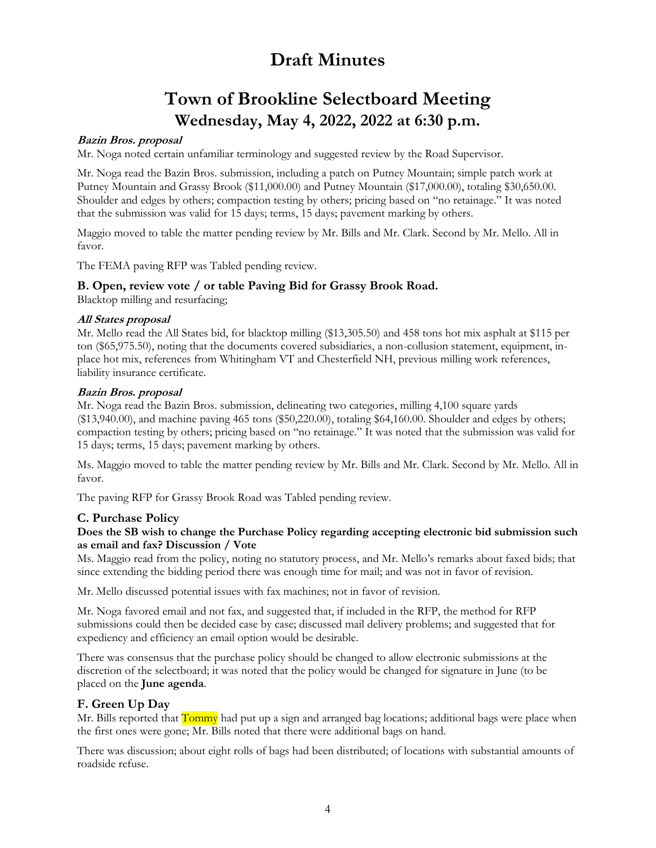# **Town of Brookline Selectboard Meeting Wednesday, May 4, 2022, 2022 at 6:30 p.m.**

#### **Bazin Bros. proposal**

Mr. Noga noted certain unfamiliar terminology and suggested review by the Road Supervisor.

Mr. Noga read the Bazin Bros. submission, including a patch on Putney Mountain; simple patch work at Putney Mountain and Grassy Brook (\$11,000.00) and Putney Mountain (\$17,000.00), totaling \$30,650.00. Shoulder and edges by others; compaction testing by others; pricing based on "no retainage." It was noted that the submission was valid for 15 days; terms, 15 days; pavement marking by others.

Maggio moved to table the matter pending review by Mr. Bills and Mr. Clark. Second by Mr. Mello. All in favor.

The FEMA paving RFP was Tabled pending review.

#### **B. Open, review vote / or table Paving Bid for Grassy Brook Road.**

Blacktop milling and resurfacing;

#### **All States proposal**

Mr. Mello read the All States bid, for blacktop milling (\$13,305.50) and 458 tons hot mix asphalt at \$115 per ton (\$65,975.50), noting that the documents covered subsidiaries, a non-collusion statement, equipment, inplace hot mix, references from Whitingham VT and Chesterfield NH, previous milling work references, liability insurance certificate.

#### **Bazin Bros. proposal**

Mr. Noga read the Bazin Bros. submission, delineating two categories, milling 4,100 square yards (\$13,940.00), and machine paving 465 tons (\$50,220.00), totaling \$64,160.00. Shoulder and edges by others; compaction testing by others; pricing based on "no retainage." It was noted that the submission was valid for 15 days; terms, 15 days; pavement marking by others.

Ms. Maggio moved to table the matter pending review by Mr. Bills and Mr. Clark. Second by Mr. Mello. All in favor.

The paving RFP for Grassy Brook Road was Tabled pending review.

#### **C. Purchase Policy**

#### **Does the SB wish to change the Purchase Policy regarding accepting electronic bid submission such as email and fax? Discussion / Vote**

Ms. Maggio read from the policy, noting no statutory process, and Mr. Mello's remarks about faxed bids; that since extending the bidding period there was enough time for mail; and was not in favor of revision.

Mr. Mello discussed potential issues with fax machines; not in favor of revision.

Mr. Noga favored email and not fax, and suggested that, if included in the RFP, the method for RFP submissions could then be decided case by case; discussed mail delivery problems; and suggested that for expediency and efficiency an email option would be desirable.

There was consensus that the purchase policy should be changed to allow electronic submissions at the discretion of the selectboard; it was noted that the policy would be changed for signature in June (to be placed on the **June agenda**.

#### **F. Green Up Day**

Mr. Bills reported that Tommy had put up a sign and arranged bag locations; additional bags were place when the first ones were gone; Mr. Bills noted that there were additional bags on hand.

There was discussion; about eight rolls of bags had been distributed; of locations with substantial amounts of roadside refuse.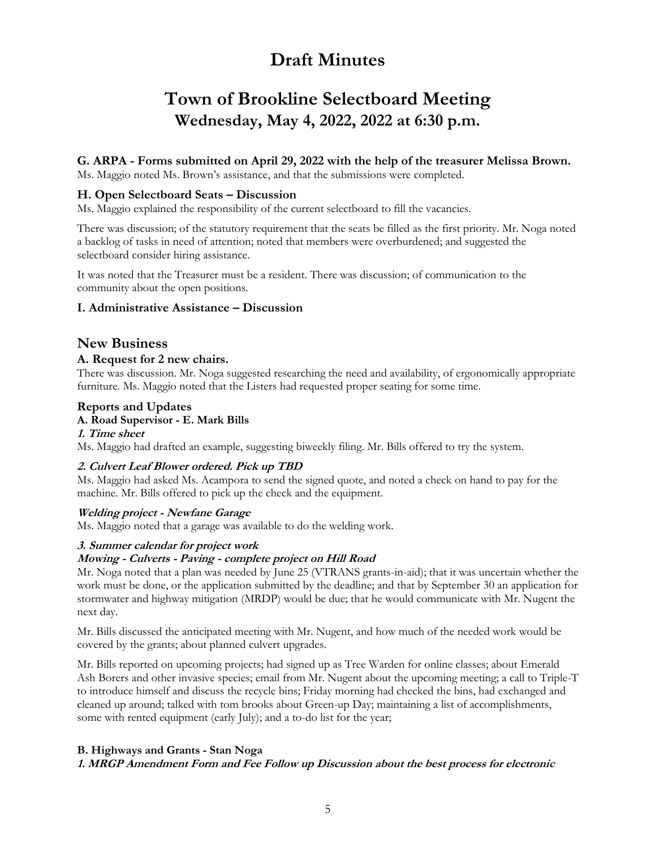## **Town of Brookline Selectboard Meeting Wednesday, May 4, 2022, 2022 at 6:30 p.m.**

#### **G. ARPA - Forms submitted on April 29, 2022 with the help of the treasurer Melissa Brown.**

Ms. Maggio noted Ms. Brown's assistance, and that the submissions were completed.

#### **H. Open Selectboard Seats – Discussion**

Ms. Maggio explained the responsibility of the current selectboard to fill the vacancies.

There was discussion; of the statutory requirement that the seats be filled as the first priority. Mr. Noga noted a backlog of tasks in need of attention; noted that members were overburdened; and suggested the selectboard consider hiring assistance.

It was noted that the Treasurer must be a resident. There was discussion; of communication to the community about the open positions.

#### **I. Administrative Assistance – Discussion**

### **New Business**

#### **A. Request for 2 new chairs.**

There was discussion. Mr. Noga suggested researching the need and availability, of ergonomically appropriate furniture. Ms. Maggio noted that the Listers had requested proper seating for some time.

#### **Reports and Updates**

#### **A. Road Supervisor - E. Mark Bills**

#### **1. Time sheet**

Ms. Maggio had drafted an example, suggesting biweekly filing. Mr. Bills offered to try the system.

#### **2. Culvert Leaf Blower ordered. Pick up TBD**

Ms. Maggio had asked Ms. Acampora to send the signed quote, and noted a check on hand to pay for the machine. Mr. Bills offered to pick up the check and the equipment.

#### **Welding project - Newfane Garage**

Ms. Maggio noted that a garage was available to do the welding work.

#### **3. Summer calendar for project work**

#### **Mowing - Culverts - Paving - complete project on Hill Road**

Mr. Noga noted that a plan was needed by June 25 (VTRANS grants-in-aid); that it was uncertain whether the work must be done, or the application submitted by the deadline; and that by September 30 an application for stormwater and highway mitigation (MRDP) would be due; that he would communicate with Mr. Nugent the next day.

Mr. Bills discussed the anticipated meeting with Mr. Nugent, and how much of the needed work would be covered by the grants; about planned culvert upgrades.

Mr. Bills reported on upcoming projects; had signed up as Tree Warden for online classes; about Emerald Ash Borers and other invasive species; email from Mr. Nugent about the upcoming meeting; a call to Triple-T to introduce himself and discuss the recycle bins; Friday morning had checked the bins, had exchanged and cleaned up around; talked with tom brooks about Green-up Day; maintaining a list of accomplishments, some with rented equipment (early July); and a to-do list for the year;

#### **B. Highways and Grants - Stan Noga**

#### **1. MRGP Amendment Form and Fee Follow up Discussion about the best process for electronic**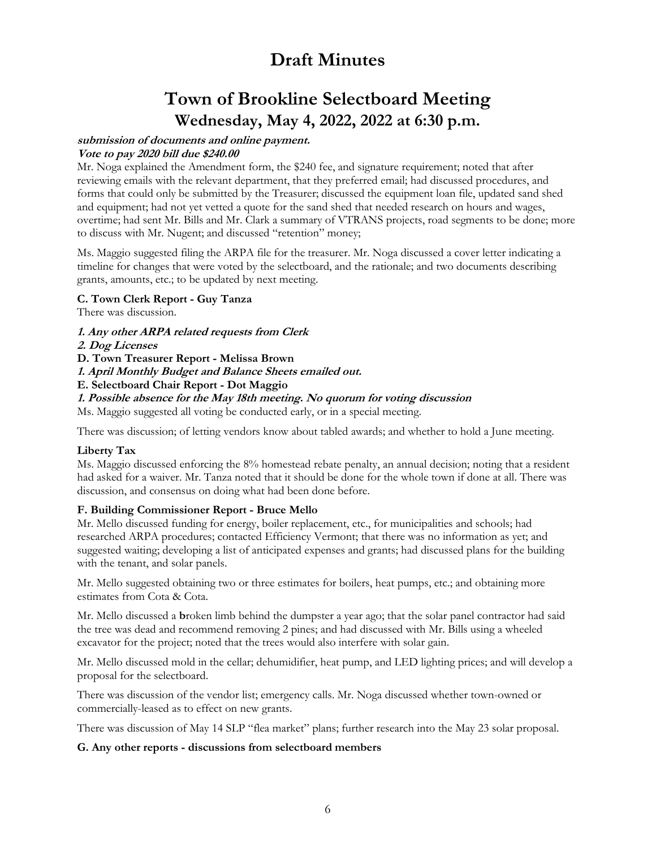# **Town of Brookline Selectboard Meeting Wednesday, May 4, 2022, 2022 at 6:30 p.m.**

#### **submission of documents and online payment.**

#### **Vote to pay 2020 bill due \$240.00**

Mr. Noga explained the Amendment form, the \$240 fee, and signature requirement; noted that after reviewing emails with the relevant department, that they preferred email; had discussed procedures, and forms that could only be submitted by the Treasurer; discussed the equipment loan file, updated sand shed and equipment; had not yet vetted a quote for the sand shed that needed research on hours and wages, overtime; had sent Mr. Bills and Mr. Clark a summary of VTRANS projects, road segments to be done; more to discuss with Mr. Nugent; and discussed "retention" money;

Ms. Maggio suggested filing the ARPA file for the treasurer. Mr. Noga discussed a cover letter indicating a timeline for changes that were voted by the selectboard, and the rationale; and two documents describing grants, amounts, etc.; to be updated by next meeting.

#### **C. Town Clerk Report - Guy Tanza**

There was discussion.

- **1. Any other ARPA related requests from Clerk**
- **2. Dog Licenses**
- **D. Town Treasurer Report - Melissa Brown**
- **1. April Monthly Budget and Balance Sheets emailed out.**
- **E. Selectboard Chair Report - Dot Maggio**
- **1. Possible absence for the May 18th meeting. No quorum for voting discussion**

Ms. Maggio suggested all voting be conducted early, or in a special meeting.

There was discussion; of letting vendors know about tabled awards; and whether to hold a June meeting.

#### **Liberty Tax**

Ms. Maggio discussed enforcing the 8% homestead rebate penalty, an annual decision; noting that a resident had asked for a waiver. Mr. Tanza noted that it should be done for the whole town if done at all. There was discussion, and consensus on doing what had been done before.

#### **F. Building Commissioner Report - Bruce Mello**

Mr. Mello discussed funding for energy, boiler replacement, etc., for municipalities and schools; had researched ARPA procedures; contacted Efficiency Vermont; that there was no information as yet; and suggested waiting; developing a list of anticipated expenses and grants; had discussed plans for the building with the tenant, and solar panels.

Mr. Mello suggested obtaining two or three estimates for boilers, heat pumps, etc.; and obtaining more estimates from Cota & Cota.

Mr. Mello discussed a **b**roken limb behind the dumpster a year ago; that the solar panel contractor had said the tree was dead and recommend removing 2 pines; and had discussed with Mr. Bills using a wheeled excavator for the project; noted that the trees would also interfere with solar gain.

Mr. Mello discussed mold in the cellar; dehumidifier, heat pump, and LED lighting prices; and will develop a proposal for the selectboard.

There was discussion of the vendor list; emergency calls. Mr. Noga discussed whether town-owned or commercially-leased as to effect on new grants.

There was discussion of May 14 SLP "flea market" plans; further research into the May 23 solar proposal.

#### **G. Any other reports - discussions from selectboard members**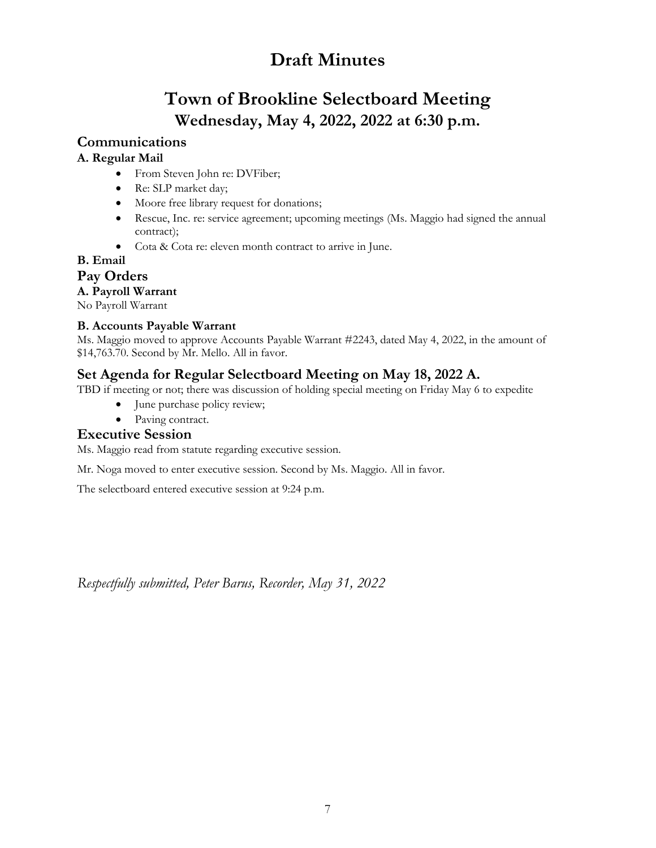# **Town of Brookline Selectboard Meeting Wednesday, May 4, 2022, 2022 at 6:30 p.m.**

### **Communications**

### **A. Regular Mail**

- From Steven John re: DVFiber;
- Re: SLP market day;
- Moore free library request for donations;
- Rescue, Inc. re: service agreement; upcoming meetings (Ms. Maggio had signed the annual contract);
- Cota & Cota re: eleven month contract to arrive in June.

### **B. Email**

### **Pay Orders**

### **A. Payroll Warrant**

No Payroll Warrant

### **B. Accounts Payable Warrant**

Ms. Maggio moved to approve Accounts Payable Warrant #2243, dated May 4, 2022, in the amount of \$14,763.70. Second by Mr. Mello. All in favor.

### **Set Agenda for Regular Selectboard Meeting on May 18, 2022 A.**

TBD if meeting or not; there was discussion of holding special meeting on Friday May 6 to expedite

- June purchase policy review;
- Paving contract.

### **Executive Session**

Ms. Maggio read from statute regarding executive session.

Mr. Noga moved to enter executive session. Second by Ms. Maggio. All in favor.

The selectboard entered executive session at 9:24 p.m.

*Respectfully submitted, Peter Barus, Recorder, May 31, 2022*